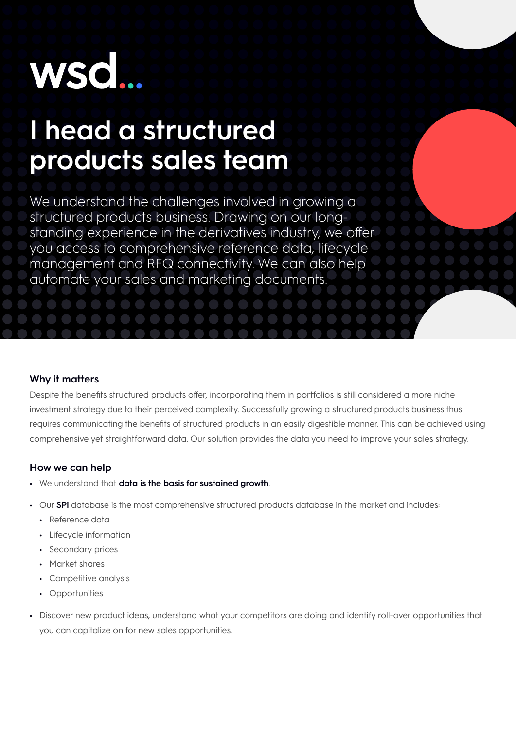# **WSO**

## **I head a structured products sales team**

We understand the challenges involved in growing a structured products business. Drawing on our longstanding experience in the derivatives industry, we offer you access to comprehensive reference data, lifecycle management and RFQ connectivity. We can also help automate your sales and marketing documents.

### **Why it matters**

Despite the benefits structured products offer, incorporating them in portfolios is still considered a more niche investment strategy due to their perceived complexity. Successfully growing a structured products business thus requires communicating the benefits of structured products in an easily digestible manner. This can be achieved using comprehensive yet straightforward data. Our solution provides the data you need to improve your sales strategy.

#### **How we can help**

- **•** We understand that **data is the basis for sustained growth**.
- **•** Our **SPi** database is the most comprehensive structured products database in the market and includes:
	- **•** Reference data
	- **•** Lifecycle information
	- **•** Secondary prices
	- **•** Market shares
	- **•** Competitive analysis
	- **•** Opportunities
- **•** Discover new product ideas, understand what your competitors are doing and identify roll-over opportunities that you can capitalize on for new sales opportunities.